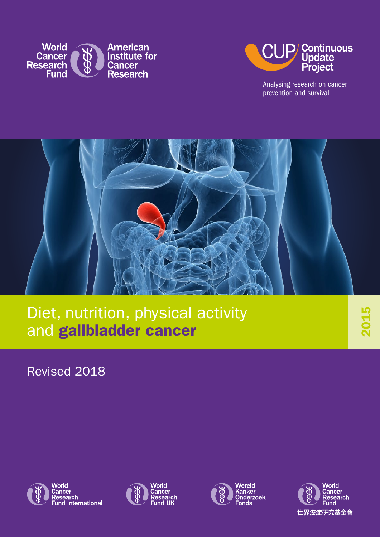



Analysing research on cancer prevention and survival



Diet, nutrition, physical activity and gallbladder cancer

Revised 2018









2015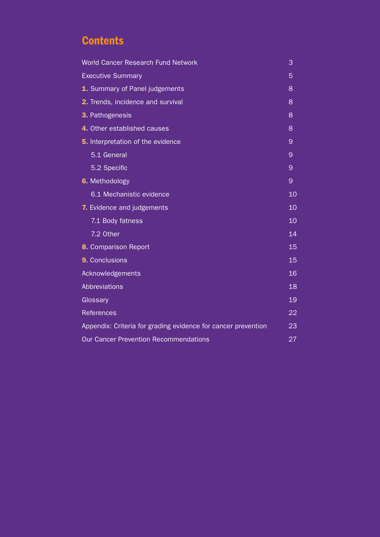# **Contents**

| <b>World Cancer Research Fund Network</b>                     | 3  |  |  |  |
|---------------------------------------------------------------|----|--|--|--|
| <b>Executive Summary</b>                                      |    |  |  |  |
| 1. Summary of Panel judgements                                | 8  |  |  |  |
| 2. Trends, incidence and survival                             | 8  |  |  |  |
| 3. Pathogenesis                                               | 8  |  |  |  |
| 4. Other established causes                                   | 8  |  |  |  |
| <b>5.</b> Interpretation of the evidence                      | 9  |  |  |  |
| 5.1 General                                                   | 9  |  |  |  |
| 5.2 Specific                                                  | 9  |  |  |  |
| 6. Methodology                                                | 9  |  |  |  |
| 6.1 Mechanistic evidence                                      | 10 |  |  |  |
| 7. Evidence and judgements                                    | 10 |  |  |  |
| 7.1 Body fatness                                              | 10 |  |  |  |
| 7.2 Other                                                     | 14 |  |  |  |
| 8. Comparison Report                                          | 15 |  |  |  |
| 9. Conclusions                                                | 15 |  |  |  |
| Acknowledgements                                              | 16 |  |  |  |
| <b>Abbreviations</b>                                          | 18 |  |  |  |
| Glossary                                                      | 19 |  |  |  |
| <b>References</b>                                             | 22 |  |  |  |
| Appendix: Criteria for grading evidence for cancer prevention | 23 |  |  |  |
| <b>Our Cancer Prevention Recommendations</b>                  | 27 |  |  |  |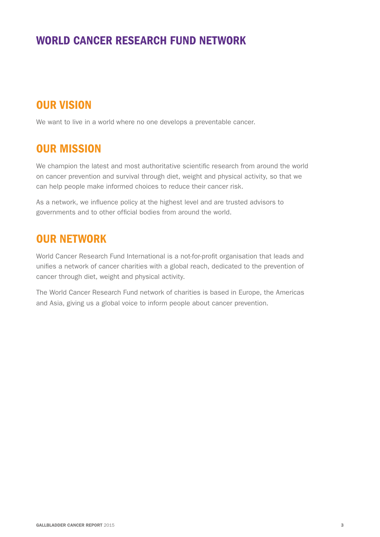## WORLD CANCER RESEARCH FUND NETWORK

# OUR VISION

We want to live in a world where no one develops a preventable cancer.

## OUR MISSION

We champion the latest and most authoritative scientific research from around the world on cancer prevention and survival through diet, weight and physical activity, so that we can help people make informed choices to reduce their cancer risk.

As a network, we influence policy at the highest level and are trusted advisors to governments and to other official bodies from around the world.

## OUR NETWORK

World Cancer Research Fund International is a not-for-profit organisation that leads and unifies a network of cancer charities with a global reach, dedicated to the prevention of cancer through diet, weight and physical activity.

The World Cancer Research Fund network of charities is based in Europe, the Americas and Asia, giving us a global voice to inform people about cancer prevention.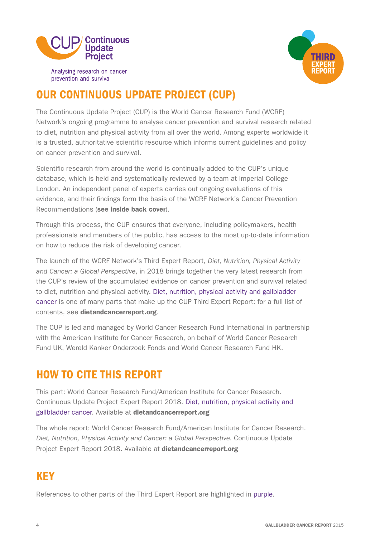

prevention and survival



# OUR CONTINUOUS UPDATE PROJECT (CUP)

The Continuous Update Project (CUP) is the World Cancer Research Fund (WCRF) Network's ongoing programme to analyse cancer prevention and survival research related to diet, nutrition and physical activity from all over the world. Among experts worldwide it is a trusted, authoritative scientific resource which informs current guidelines and policy on cancer prevention and survival.

Scientific research from around the world is continually added to the CUP's unique database, which is held and systematically reviewed by a team at Imperial College London. An independent panel of experts carries out ongoing evaluations of this evidence, and their findings form the basis of the WCRF Network's Cancer Prevention Recommendations (see inside back cover).

Through this process, the CUP ensures that everyone, including policymakers, health professionals and members of the public, has access to the most up-to-date information on how to reduce the risk of developing cancer.

The launch of the WCRF Network's Third Expert Report, *Diet, Nutrition, Physical Activity and Cancer: a Global Perspective*, in 2018 brings together the very latest research from the CUP's review of the accumulated evidence on cancer prevention and survival related to diet, nutrition and physical activity. Diet, nutrition, physical activity and gallbladder cancer is one of many parts that make up the CUP Third Expert Report: for a full list of contents, see [dietandcancerreport.org](http://dietandcancerreport.org).

The CUP is led and managed by World Cancer Research Fund International in partnership with the American Institute for Cancer Research, on behalf of World Cancer Research Fund UK, Wereld Kanker Onderzoek Fonds and World Cancer Research Fund HK.

# HOW TO CITE THIS REPORT

This part: World Cancer Research Fund/American Institute for Cancer Research. Continuous Update Project Expert Report 2018. Diet, nutrition, physical activity and gallbladder cancer. Available at [dietandcancerreport.org](http://dietandcancerreport.org)

The whole report: World Cancer Research Fund/American Institute for Cancer Research. *Diet, Nutrition, Physical Activity and Cancer: a Global Perspective*. Continuous Update Project Expert Report 2018. Available at [dietandcancerreport.org](http://dietandcancerreport.org)

# **KFY**

References to other parts of the Third Expert Report are highlighted in purple.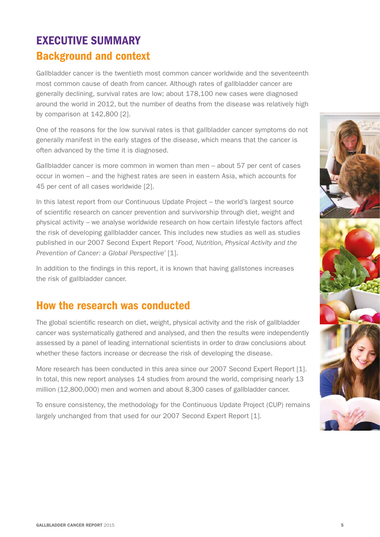# EXECUTIVE SUMMARY Background and context

Gallbladder cancer is the twentieth most common cancer worldwide and the seventeenth most common cause of death from cancer. Although rates of gallbladder cancer are generally declining, survival rates are low; about 178,100 new cases were diagnosed around the world in 2012, but the number of deaths from the disease was relatively high by comparison at 142,800 [2].

One of the reasons for the low survival rates is that gallbladder cancer symptoms do not generally manifest in the early stages of the disease, which means that the cancer is often advanced by the time it is diagnosed.

Gallbladder cancer is more common in women than men – about 57 per cent of cases occur in women – and the highest rates are seen in eastern Asia, which accounts for 45 per cent of all cases worldwide [2].

In this latest report from our Continuous Update Project – the world's largest source of scientific research on cancer prevention and survivorship through diet, weight and physical activity – we analyse worldwide research on how certain lifestyle factors affect the risk of developing gallbladder cancer. This includes new studies as well as studies published in our 2007 Second Expert Report '*Food, Nutrition, Physical Activity and the Prevention of Cancer: a Global Perspective'* [1].

In addition to the findings in this report, it is known that having gallstones increases the risk of gallbladder cancer.

## How the research was conducted

The global scientific research on diet, weight, physical activity and the risk of gallbladder cancer was systematically gathered and analysed, and then the results were independently assessed by a panel of leading international scientists in order to draw conclusions about whether these factors increase or decrease the risk of developing the disease.

More research has been conducted in this area since our 2007 Second Expert Report [1]. In total, this new report analyses 14 studies from around the world, comprising nearly 13 million (12,800,000) men and women and about 8,300 cases of gallbladder cancer.

To ensure consistency, the methodology for the Continuous Update Project (CUP) remains largely unchanged from that used for our 2007 Second Expert Report [1].

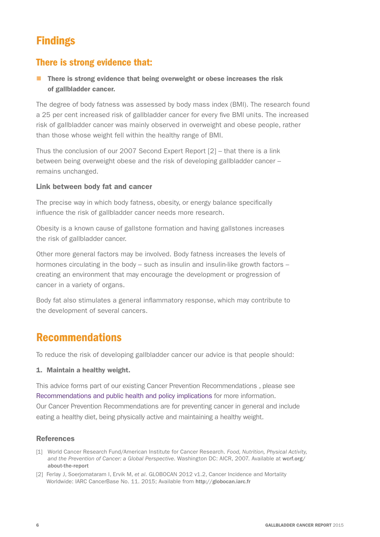# Findings

## There is strong evidence that:

**n** There is strong evidence that being overweight or obese increases the risk of gallbladder cancer.

The degree of body fatness was assessed by body mass index (BMI). The research found a 25 per cent increased risk of gallbladder cancer for every five BMI units. The increased risk of gallbladder cancer was mainly observed in overweight and obese people, rather than those whose weight fell within the healthy range of BMI.

Thus the conclusion of our 2007 Second Expert Report [2] – that there is a link between being overweight obese and the risk of developing gallbladder cancer – remains unchanged.

### Link between body fat and cancer

The precise way in which body fatness, obesity, or energy balance specifically influence the risk of gallbladder cancer needs more research.

Obesity is a known cause of gallstone formation and having gallstones increases the risk of gallbladder cancer.

Other more general factors may be involved. Body fatness increases the levels of hormones circulating in the body – such as insulin and insulin-like growth factors – creating an environment that may encourage the development or progression of cancer in a variety of organs.

Body fat also stimulates a general inflammatory response, which may contribute to the development of several cancers.

## Recommendations

To reduce the risk of developing gallbladder cancer our advice is that people should:

#### 1. Maintain a healthy weight.

This advice forms part of our existing Cancer Prevention Recommendations , please see Recommendations and public health and policy implications for more information. Our Cancer Prevention Recommendations are for preventing cancer in general and include eating a healthy diet, being physically active and maintaining a healthy weight.

#### References

- [1] World Cancer Research Fund/American Institute for Cancer Research. *Food, Nutrition, Physical Activity,*  and the Prevention of Cancer: a Global Perspective. Washington DC: AICR, 2007. Available at worf.org/ [about-the-report](http://wcrf.org/about-the-report)
- [2] Ferlay J, Soerjomataram I, Ervik M, *et al*. GLOBOCAN 2012 v1.2, Cancer Incidence and Mortality Worldwide: IARC CancerBase No. 11. 2015; Available from <http://globocan.iarc.fr>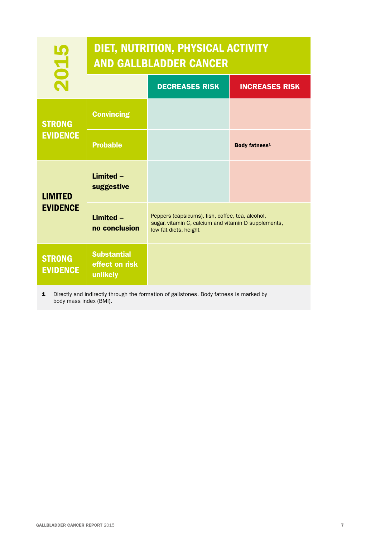| 2015                                   | DIET, NUTRITION, PHYSICAL ACTIVITY<br><b>AND GALLBLADDER CANCER</b> |                                                                                                                                   |                           |  |  |  |
|----------------------------------------|---------------------------------------------------------------------|-----------------------------------------------------------------------------------------------------------------------------------|---------------------------|--|--|--|
|                                        |                                                                     | <b>DECREASES RISK</b>                                                                                                             | <b>INCREASES RISK</b>     |  |  |  |
| <b>STRONG</b>                          | <b>Convincing</b>                                                   |                                                                                                                                   |                           |  |  |  |
| <b>EVIDENCE</b>                        | <b>Probable</b>                                                     |                                                                                                                                   | Body fatness <sup>1</sup> |  |  |  |
| <b>LIMITED</b>                         | Limited -<br>suggestive                                             |                                                                                                                                   |                           |  |  |  |
| <b>EVIDENCE</b>                        | Limited -<br>no conclusion                                          | Peppers (capsicums), fish, coffee, tea, alcohol,<br>sugar, vitamin C, calcium and vitamin D supplements,<br>low fat diets, height |                           |  |  |  |
| <b>STRONG</b><br><b>EVIDENCE</b>       | <b>Substantial</b><br>effect on risk<br>unlikely                    |                                                                                                                                   |                           |  |  |  |
| $\mathbf{1}$<br>body mass index (BMI). |                                                                     | Directly and indirectly through the formation of gallstones. Body fatness is marked by                                            |                           |  |  |  |
|                                        |                                                                     |                                                                                                                                   |                           |  |  |  |
|                                        |                                                                     |                                                                                                                                   |                           |  |  |  |
|                                        |                                                                     |                                                                                                                                   |                           |  |  |  |
|                                        |                                                                     |                                                                                                                                   |                           |  |  |  |
|                                        |                                                                     |                                                                                                                                   |                           |  |  |  |
|                                        |                                                                     |                                                                                                                                   |                           |  |  |  |
|                                        |                                                                     |                                                                                                                                   |                           |  |  |  |
|                                        |                                                                     |                                                                                                                                   |                           |  |  |  |
|                                        |                                                                     |                                                                                                                                   |                           |  |  |  |
| <b>GALLBLADDER CANCER REPORT 2015</b>  |                                                                     |                                                                                                                                   |                           |  |  |  |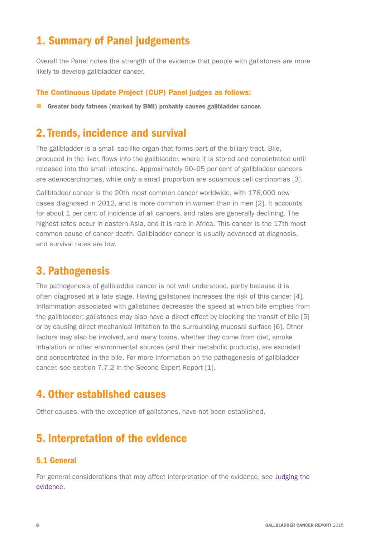## 1. Summary of Panel judgements

Overall the Panel notes the strength of the evidence that people with gallstones are more likely to develop gallbladder cancer.

### The Continuous Update Project (CUP) Panel judges as follows:

**n** Greater body fatness (marked by BMI) probably causes gallbladder cancer.

## 2. Trends, incidence and survival

The gallbladder is a small sac-like organ that forms part of the biliary tract. Bile, produced in the liver, flows into the gallbladder, where it is stored and concentrated until released into the small intestine. Approximately 90–95 per cent of gallbladder cancers are adenocarcinomas, while only a small proportion are squamous cell carcinomas [3].

Gallbladder cancer is the 20th most common cancer worldwide, with 178,000 new cases diagnosed in 2012, and is more common in women than in men [2]. It accounts for about 1 per cent of incidence of all cancers, and rates are generally declining. The highest rates occur in eastern Asia, and it is rare in Africa. This cancer is the 17th most common cause of cancer death. Gallbladder cancer is usually advanced at diagnosis, and survival rates are low.

## 3. Pathogenesis

The pathogenesis of gallbladder cancer is not well understood, partly because it is often diagnosed at a late stage. Having gallstones increases the risk of this cancer [4]. Inflammation associated with gallstones decreases the speed at which bile empties from the gallbladder; gallstones may also have a direct effect by blocking the transit of bile [5] or by causing direct mechanical irritation to the surrounding mucosal surface [6]. Other factors may also be involved, and many toxins, whether they come from diet, smoke inhalation or other environmental sources (and their metabolic products), are excreted and concentrated in the bile. For more information on the pathogenesis of gallbladder cancer, see section 7.7.2 in the Second Expert Report [1].

## 4. Other established causes

Other causes, with the exception of gallstones, have not been established.

## 5. Interpretation of the evidence

## 5.1 General

For general considerations that may affect interpretation of the evidence, see Judging the evidence.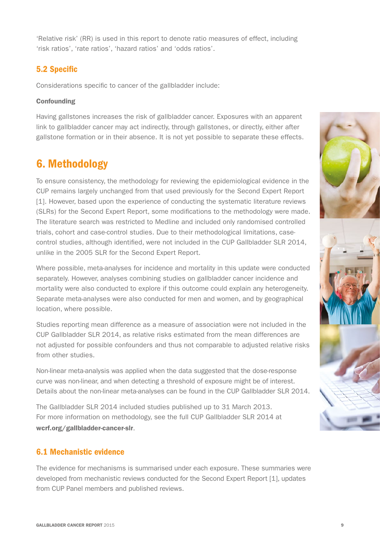'Relative risk' (RR) is used in this report to denote ratio measures of effect, including 'risk ratios', 'rate ratios', 'hazard ratios' and 'odds ratios'.

## 5.2 Specific

Considerations specific to cancer of the gallbladder include:

#### **Confounding**

Having gallstones increases the risk of gallbladder cancer. Exposures with an apparent link to gallbladder cancer may act indirectly, through gallstones, or directly, either after gallstone formation or in their absence. It is not yet possible to separate these effects.

## 6. Methodology

To ensure consistency, the methodology for reviewing the epidemiological evidence in the CUP remains largely unchanged from that used previously for the Second Expert Report [1]. However, based upon the experience of conducting the systematic literature reviews (SLRs) for the Second Expert Report, some modifications to the methodology were made. The literature search was restricted to Medline and included only randomised controlled trials, cohort and case-control studies. Due to their methodological limitations, casecontrol studies, although identified, were not included in the CUP Gallbladder SLR 2014, unlike in the 2005 SLR for the Second Expert Report.

Where possible, meta-analyses for incidence and mortality in this update were conducted separately. However, analyses combining studies on gallbladder cancer incidence and mortality were also conducted to explore if this outcome could explain any heterogeneity. Separate meta-analyses were also conducted for men and women, and by geographical location, where possible.

Studies reporting mean difference as a measure of association were not included in the CUP Gallbladder SLR 2014, as relative risks estimated from the mean differences are not adjusted for possible confounders and thus not comparable to adjusted relative risks from other studies.

Non-linear meta-analysis was applied when the data suggested that the dose-response curve was non-linear, and when detecting a threshold of exposure might be of interest. Details about the non-linear meta-analyses can be found in the CUP Gallbladder SLR 2014.

The Gallbladder SLR 2014 included studies published up to 31 March 2013. For more information on methodology, see the full CUP Gallbladder SLR 2014 at [wcrf.org/gallbladder-cancer-slr](http://wcrf.org/gallbladder-cancer-slr).

## 6.1 Mechanistic evidence

The evidence for mechanisms is summarised under each exposure. These summaries were developed from mechanistic reviews conducted for the Second Expert Report [1], updates from CUP Panel members and published reviews.

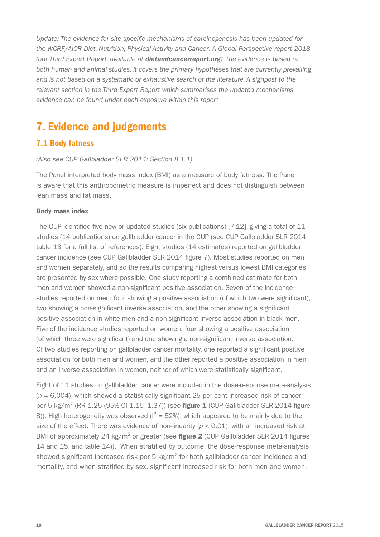*Update: The evidence for site specific mechanisms of carcinogenesis has been updated for the WCRF/AICR Diet, Nutrition, Physical Activity and Cancer: A Global Perspective report 2018 (our Third Expert Report, available at [dietandcancerreport.org](http://dietandcancerreport.org)). The evidence is based on both human and animal studies. It covers the primary hypotheses that are currently prevailing and is not based on a systematic or exhaustive search of the literature. A signpost to the relevant section in the Third Expert Report which summarises the updated mechanisms evidence can be found under each exposure within this report*

# 7. Evidence and judgements

## 7.1 Body fatness

#### *(Also see CUP Gallbladder SLR 2014: Section 8.1.1)*

The Panel interpreted body mass index (BMI) as a measure of body fatness. The Panel is aware that this anthropometric measure is imperfect and does not distinguish between lean mass and fat mass.

#### Body mass index

The CUP identified five new or updated studies (six publications) [7-12], giving a total of 11 studies (14 publications) on gallbladder cancer in the CUP (see CUP Gallbladder SLR 2014 table 13 for a full list of references). Eight studies (14 estimates) reported on gallbladder cancer incidence (see CUP Gallbladder SLR 2014 figure 7). Most studies reported on men and women separately, and so the results comparing highest versus lowest BMI categories are presented by sex where possible. One study reporting a combined estimate for both men and women showed a non-significant positive association. Seven of the incidence studies reported on men: four showing a positive association (of which two were significant), two showing a non-significant inverse association, and the other showing a significant positive association in white men and a non-significant inverse association in black men. Five of the incidence studies reported on women: four showing a positive association (of which three were significant) and one showing a non-significant inverse association. Of two studies reporting on gallbladder cancer mortality, one reported a significant positive association for both men and women, and the other reported a positive association in men and an inverse association in women, neither of which were statistically significant.

Eight of 11 studies on gallbladder cancer were included in the dose-response meta-analysis (*n* = 6,004), which showed a statistically significant 25 per cent increased risk of cancer per 5 kg/m<sup>2</sup> (RR 1.25 (95% CI 1.15–1.37)) (see **figure 1** (CUP Gallbladder SLR 2014 figure 8)). High heterogeneity was observed ( $I^2 = 52$ %), which appeared to be mainly due to the size of the effect. There was evidence of non-linearity (*p* < 0.01), with an increased risk at BMI of approximately 24 kg/m<sup>2</sup> or greater (see **figure 2** (CUP Gallbladder SLR 2014 figures 14 and 15, and table 14)). When stratified by outcome, the dose-response meta-analysis showed significant increased risk per 5 kg/ $m^2$  for both gallbladder cancer incidence and mortality, and when stratified by sex, significant increased risk for both men and women.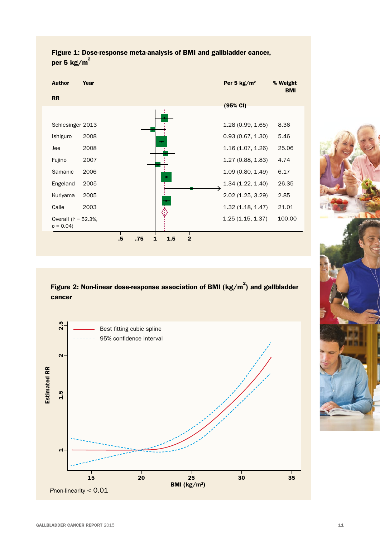



Figure 2: Non-linear dose-response association of BMI ( $kg/m^2$ ) and gallbladder cancer



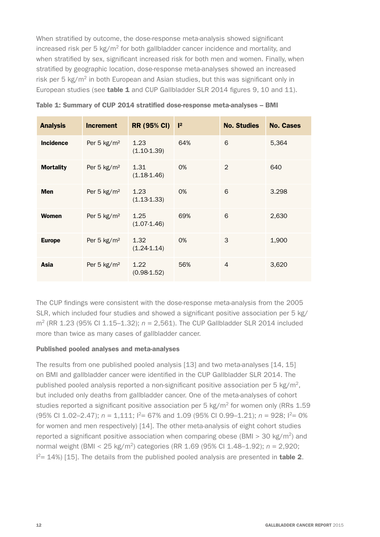When stratified by outcome, the dose-response meta-analysis showed significant increased risk per 5 kg/m<sup>2</sup> for both gallbladder cancer incidence and mortality, and when stratified by sex, significant increased risk for both men and women. Finally, when stratified by geographic location, dose-response meta-analyses showed an increased risk per 5  $kg/m^2$  in both European and Asian studies, but this was significant only in European studies (see table 1 and CUP Gallbladder SLR 2014 figures 9, 10 and 11).

| <b>Analysis</b>  | <b>Increment</b> | <b>RR (95% CI)</b>      | $ ^{2}$ | <b>No. Studies</b> | <b>No. Cases</b> |
|------------------|------------------|-------------------------|---------|--------------------|------------------|
| <b>Incidence</b> | Per 5 $kg/m2$    | 1.23<br>$(1.10-1.39)$   | 64%     | 6                  | 5,364            |
| <b>Mortality</b> | Per 5 $kg/m2$    | 1.31<br>$(1.18 - 1.46)$ | 0%      | 2                  | 640              |
| <b>Men</b>       | Per 5 $kg/m2$    | 1.23<br>$(1.13 - 1.33)$ | 0%      | 6                  | 3.298            |
| <b>Women</b>     | Per 5 $kg/m2$    | 1.25<br>$(1.07 - 1.46)$ | 69%     | 6                  | 2,630            |
| <b>Europe</b>    | Per 5 $kg/m2$    | 1.32<br>$(1.24 - 1.14)$ | 0%      | 3                  | 1,900            |
| Asia             | Per 5 $kg/m2$    | 1.22<br>$(0.98 - 1.52)$ | 56%     | $\overline{4}$     | 3,620            |

|  |  |  |  |  |  |  | Table 1: Summary of CUP 2014 stratified dose-response meta-analyses – BMI |  |
|--|--|--|--|--|--|--|---------------------------------------------------------------------------|--|
|--|--|--|--|--|--|--|---------------------------------------------------------------------------|--|

The CUP findings were consistent with the dose-response meta-analysis from the 2005 SLR, which included four studies and showed a significant positive association per 5 kg/ m2 (RR 1.23 (95% CI 1.15–1.32); *n* = 2,561). The CUP Gallbladder SLR 2014 included more than twice as many cases of gallbladder cancer.

#### Published pooled analyses and meta-analyses

The results from one published pooled analysis [13] and two meta-analyses [14, 15] on BMI and gallbladder cancer were identified in the CUP Gallbladder SLR 2014. The published pooled analysis reported a non-significant positive association per  $5 \text{ kg/m}^2$ , but included only deaths from gallbladder cancer. One of the meta-analyses of cohort studies reported a significant positive association per 5  $kg/m^2$  for women only (RRs 1.59  $(95\% \text{ CI } 1.02 - 2.47)$ ;  $n = 1.111$ ;  $1^2 = 67\%$  and 1.09 (95% CI 0.99-1.21);  $n = 928$ ;  $1^2 = 0\%$ for women and men respectively) [14]. The other meta-analysis of eight cohort studies reported a significant positive association when comparing obese (BMI  $>$  30 kg/m<sup>2</sup>) and normal weight (BMI < 25 kg/m2) categories (RR 1.69 (95% CI 1.48–1.92); *n* = 2,920;  $1<sup>2</sup>= 14%$  [15]. The details from the published pooled analysis are presented in **table 2.**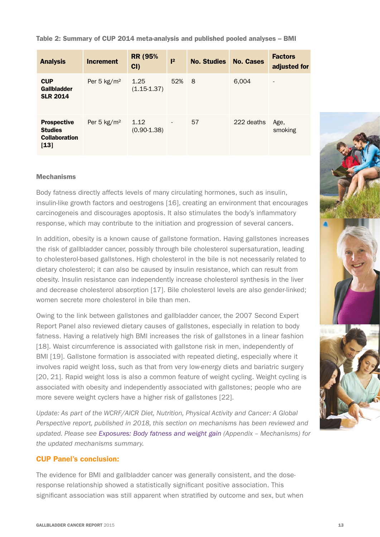Table 2: Summary of CUP 2014 meta-analysis and published pooled analyses – BMI

| <b>Analysis</b>                                                        | <b>Increment</b> | <b>RR (95%)</b><br>CI | 2                        | <b>No. Studies</b> | <b>No. Cases</b> | <b>Factors</b><br>adjusted for |
|------------------------------------------------------------------------|------------------|-----------------------|--------------------------|--------------------|------------------|--------------------------------|
| <b>CUP</b><br><b>Gallbladder</b><br><b>SLR 2014</b>                    | Per 5 $kg/m2$    | 1.25<br>$(1.15-1.37)$ | 52%                      | 8                  | 6,004            | $\qquad \qquad$                |
| <b>Prospective</b><br><b>Studies</b><br><b>Collaboration</b><br>$[13]$ | Per 5 $kg/m2$    | 1.12<br>$(0.90-1.38)$ | $\overline{\phantom{a}}$ | 57                 | 222 deaths       | Age,<br>smoking                |

#### **Mechanisms**

Body fatness directly affects levels of many circulating hormones, such as insulin, insulin-like growth factors and oestrogens [16], creating an environment that encourages carcinogeneis and discourages apoptosis. It also stimulates the body's inflammatory response, which may contribute to the initiation and progression of several cancers.

In addition, obesity is a known cause of gallstone formation. Having gallstones increases the risk of gallbladder cancer, possibly through bile cholesterol supersaturation, leading to cholesterol-based gallstones. High cholesterol in the bile is not necessarily related to dietary cholesterol; it can also be caused by insulin resistance, which can result from obesity. Insulin resistance can independently increase cholesterol synthesis in the liver and decrease cholesterol absorption [17]. Bile cholesterol levels are also gender-linked; women secrete more cholesterol in bile than men.

Owing to the link between gallstones and gallbladder cancer, the 2007 Second Expert Report Panel also reviewed dietary causes of gallstones, especially in relation to body fatness. Having a relatively high BMI increases the risk of gallstones in a linear fashion [18]. Waist circumference is associated with gallstone risk in men, independently of BMI [19]. Gallstone formation is associated with repeated dieting, especially where it involves rapid weight loss, such as that from very low-energy diets and bariatric surgery [20, 21]. Rapid weight loss is also a common feature of weight cycling. Weight cycling is associated with obesity and independently associated with gallstones; people who are more severe weight cyclers have a higher risk of gallstones [22].

*Update: As part of the WCRF/AICR Diet, Nutrition, Physical Activity and Cancer: A Global Perspective report, published in 2018, this section on mechanisms has been reviewed and updated. Please see Exposures: Body fatness and weight gain (Appendix – Mechanisms) for the updated mechanisms summary.*

#### CUP Panel's conclusion:

The evidence for BMI and gallbladder cancer was generally consistent, and the doseresponse relationship showed a statistically significant positive association. This significant association was still apparent when stratified by outcome and sex, but when

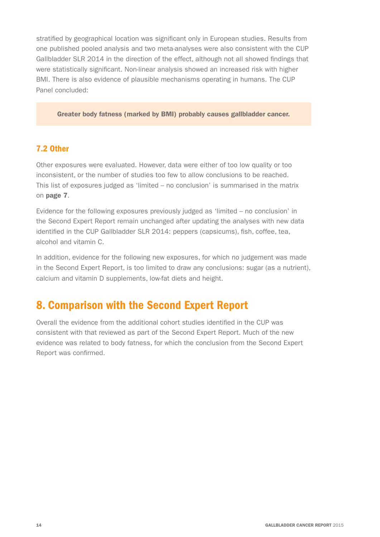stratified by geographical location was significant only in European studies. Results from one published pooled analysis and two meta-analyses were also consistent with the CUP Gallbladder SLR 2014 in the direction of the effect, although not all showed findings that were statistically significant. Non-linear analysis showed an increased risk with higher BMI. There is also evidence of plausible mechanisms operating in humans. The CUP Panel concluded:

Greater body fatness (marked by BMI) probably causes gallbladder cancer.

## 7.2 Other

Other exposures were evaluated. However, data were either of too low quality or too inconsistent, or the number of studies too few to allow conclusions to be reached. This list of exposures judged as 'limited – no conclusion' is summarised in the matrix on page 7.

Evidence for the following exposures previously judged as 'limited – no conclusion' in the Second Expert Report remain unchanged after updating the analyses with new data identified in the CUP Gallbladder SLR 2014: peppers (capsicums), fish, coffee, tea, alcohol and vitamin C.

In addition, evidence for the following new exposures, for which no judgement was made in the Second Expert Report, is too limited to draw any conclusions: sugar (as a nutrient), calcium and vitamin D supplements, low-fat diets and height.

## 8. Comparison with the Second Expert Report

Overall the evidence from the additional cohort studies identified in the CUP was consistent with that reviewed as part of the Second Expert Report. Much of the new evidence was related to body fatness, for which the conclusion from the Second Expert Report was confirmed.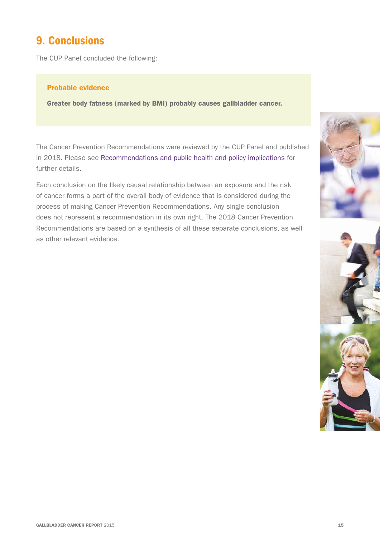## 9. Conclusions

The CUP Panel concluded the following:

#### Probable evidence

Greater body fatness (marked by BMI) probably causes gallbladder cancer.

The Cancer Prevention Recommendations were reviewed by the CUP Panel and published in 2018. Please see Recommendations and public health and policy implications for further details.

Each conclusion on the likely causal relationship between an exposure and the risk of cancer forms a part of the overall body of evidence that is considered during the process of making Cancer Prevention Recommendations. Any single conclusion does not represent a recommendation in its own right. The 2018 Cancer Prevention Recommendations are based on a synthesis of all these separate conclusions, as well as other relevant evidence.



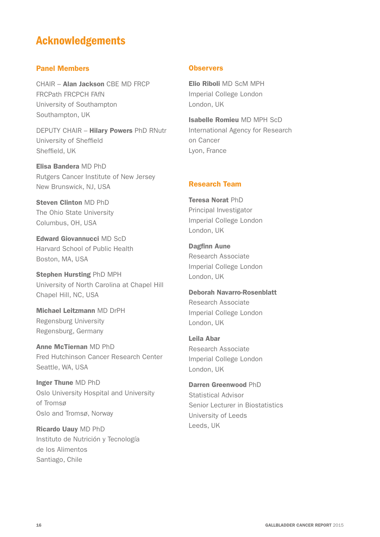## Acknowledgements

#### Panel Members

CHAIR – Alan Jackson CBE MD FRCP FRCPath FRCPCH FAfN University of Southampton Southampton, UK

DEPUTY CHAIR – Hilary Powers PhD RNutr University of Sheffield Sheffield, UK

Elisa Bandera MD PhD Rutgers Cancer Institute of New Jersey New Brunswick, NJ, USA

Steven Clinton MD PhD The Ohio State University Columbus, OH, USA

Edward Giovannucci MD ScD Harvard School of Public Health Boston, MA, USA

Stephen Hursting PhD MPH University of North Carolina at Chapel Hill Chapel Hill, NC, USA

Michael Leitzmann MD DrPH Regensburg University Regensburg, Germany

Anne McTiernan MD PhD Fred Hutchinson Cancer Research Center Seattle, WA, USA

Inger Thune MD PhD Oslo University Hospital and University of Tromsø Oslo and Tromsø, Norway

Ricardo Uauy MD PhD Instituto de Nutrición y Tecnología de los Alimentos Santiago, Chile

#### **Observers**

Elio Riboli MD ScM MPH Imperial College London London, UK

Isabelle Romieu MD MPH ScD International Agency for Research on Cancer Lyon, France

### Research Team

Teresa Norat PhD Principal Investigator Imperial College London London, UK

Dagfinn Aune Research Associate Imperial College London London, UK

Deborah Navarro-Rosenblatt Research Associate Imperial College London London, UK

Leila Abar Research Associate Imperial College London London, UK

Darren Greenwood PhD Statistical Advisor Senior Lecturer in Biostatistics University of Leeds Leeds, UK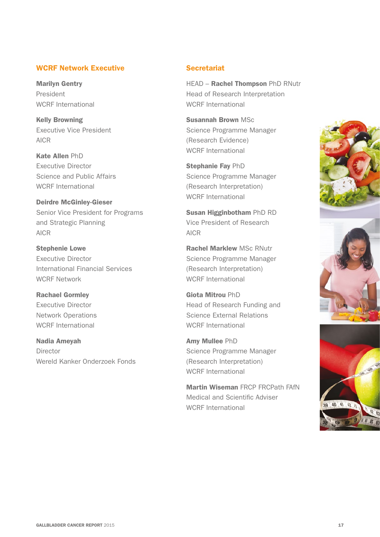#### WCRF Network Executive

Marilyn Gentry President WCRF International

Kelly Browning Executive Vice President AICR

Kate Allen PhD Executive Director Science and Public Affairs WCRF International

Deirdre McGinley-Gieser Senior Vice President for Programs and Strategic Planning AICR

Stephenie Lowe Executive Director International Financial Services WCRF Network

Rachael Gormley Executive Director Network Operations WCRF International

Nadia Ameyah Director Wereld Kanker Onderzoek Fonds

### **Secretariat**

HEAD – Rachel Thompson PhD RNutr Head of Research Interpretation WCRF International

Susannah Brown MSc Science Programme Manager (Research Evidence) WCRF International

Stephanie Fay PhD Science Programme Manager (Research Interpretation) WCRF International

Susan Higginbotham PhD RD Vice President of Research AICR

Rachel Marklew MSc RNutr Science Programme Manager (Research Interpretation) WCRF International

Giota Mitrou PhD Head of Research Funding and Science External Relations WCRF International

Amy Mullee PhD Science Programme Manager (Research Interpretation) WCRF International

Martin Wiseman FRCP FRCPath FAfN Medical and Scientific Adviser WCRF International



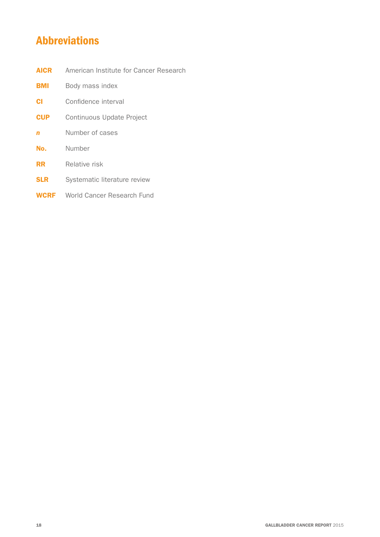## Abbreviations

- **AICR** American Institute for Cancer Research
- **BMI** Body mass index
- **CI** Confidence interval
- **CUP** Continuous Update Project
- **n** Number of cases
- No. Number
- **RR** Relative risk
- **SLR** Systematic literature review
- **WCRF** World Cancer Research Fund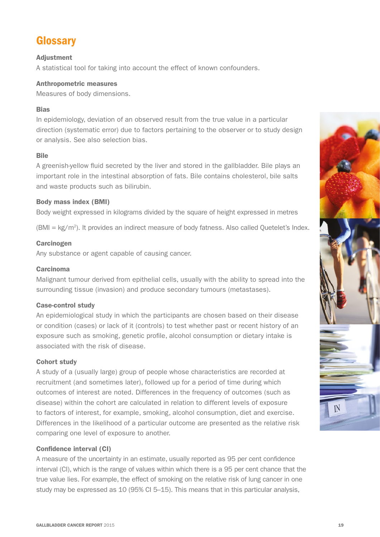## **Glossary**

#### Adjustment

A statistical tool for taking into account the effect of known confounders.

#### Anthropometric measures

Measures of body dimensions.

#### Bias

In epidemiology, deviation of an observed result from the true value in a particular direction (systematic error) due to factors pertaining to the observer or to study design or analysis. See also selection bias.

#### **Bile**

A greenish-yellow fluid secreted by the liver and stored in the gallbladder. Bile plays an important role in the intestinal absorption of fats. Bile contains cholesterol, bile salts and waste products such as bilirubin.

#### Body mass index (BMI)

Body weight expressed in kilograms divided by the square of height expressed in metres

 $(BMI = kg/m<sup>2</sup>)$ . It provides an indirect measure of body fatness. Also called Quetelet's Index.

#### **Carcinogen**

Any substance or agent capable of causing cancer.

#### Carcinoma

Malignant tumour derived from epithelial cells, usually with the ability to spread into the surrounding tissue (invasion) and produce secondary tumours (metastases).

#### Case-control study

An epidemiological study in which the participants are chosen based on their disease or condition (cases) or lack of it (controls) to test whether past or recent history of an exposure such as smoking, genetic profile, alcohol consumption or dietary intake is associated with the risk of disease.

#### Cohort study

A study of a (usually large) group of people whose characteristics are recorded at recruitment (and sometimes later), followed up for a period of time during which outcomes of interest are noted. Differences in the frequency of outcomes (such as disease) within the cohort are calculated in relation to different levels of exposure to factors of interest, for example, smoking, alcohol consumption, diet and exercise. Differences in the likelihood of a particular outcome are presented as the relative risk comparing one level of exposure to another.

#### Confidence interval (CI)

A measure of the uncertainty in an estimate, usually reported as 95 per cent confidence interval (CI), which is the range of values within which there is a 95 per cent chance that the true value lies. For example, the effect of smoking on the relative risk of lung cancer in one study may be expressed as 10 (95% CI 5–15). This means that in this particular analysis,

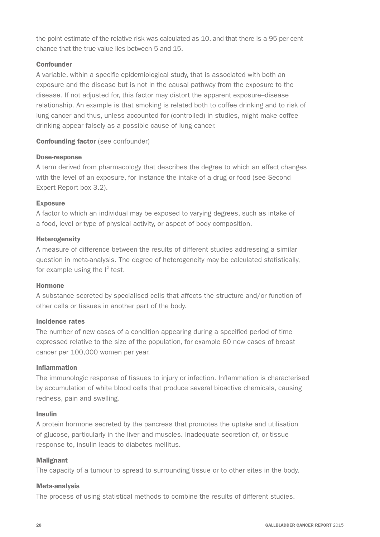the point estimate of the relative risk was calculated as 10, and that there is a 95 per cent chance that the true value lies between 5 and 15.

#### **Confounder**

A variable, within a specific epidemiological study, that is associated with both an exposure and the disease but is not in the causal pathway from the exposure to the disease. If not adjusted for, this factor may distort the apparent exposure–disease relationship. An example is that smoking is related both to coffee drinking and to risk of lung cancer and thus, unless accounted for (controlled) in studies, might make coffee drinking appear falsely as a possible cause of lung cancer.

#### Confounding factor (see confounder)

#### Dose-response

A term derived from pharmacology that describes the degree to which an effect changes with the level of an exposure, for instance the intake of a drug or food (see Second Expert Report box 3.2).

#### Exposure

A factor to which an individual may be exposed to varying degrees, such as intake of a food, level or type of physical activity, or aspect of body composition.

#### Heterogeneity

A measure of difference between the results of different studies addressing a similar question in meta-analysis. The degree of heterogeneity may be calculated statistically, for example using the  $I^2$  test.

#### Hormone

A substance secreted by specialised cells that affects the structure and/or function of other cells or tissues in another part of the body.

#### Incidence rates

The number of new cases of a condition appearing during a specified period of time expressed relative to the size of the population, for example 60 new cases of breast cancer per 100,000 women per year.

#### Inflammation

The immunologic response of tissues to injury or infection. Inflammation is characterised by accumulation of white blood cells that produce several bioactive chemicals, causing redness, pain and swelling.

#### Insulin

A protein hormone secreted by the pancreas that promotes the uptake and utilisation of glucose, particularly in the liver and muscles. Inadequate secretion of, or tissue response to, insulin leads to diabetes mellitus.

#### Malignant

The capacity of a tumour to spread to surrounding tissue or to other sites in the body.

#### Meta-analysis

The process of using statistical methods to combine the results of different studies.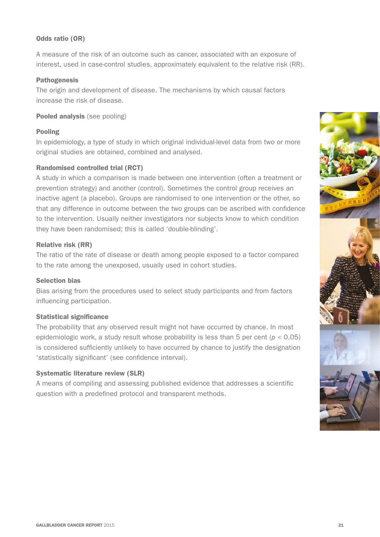#### Odds ratio (OR)

A measure of the risk of an outcome such as cancer, associated with an exposure of interest, used in case-control studies, approximately equivalent to the relative risk (RR).

#### Pathogenesis

The origin and development of disease. The mechanisms by which causal factors increase the risk of disease.

#### Pooled analysis (see pooling)

#### Pooling

In epidemiology, a type of study in which original individual-level data from two or more original studies are obtained, combined and analysed.

#### Randomised controlled trial (RCT)

A study in which a comparison is made between one intervention (often a treatment or prevention strategy) and another (control). Sometimes the control group receives an inactive agent (a placebo). Groups are randomised to one intervention or the other, so that any difference in outcome between the two groups can be ascribed with confidence to the intervention. Usually neither investigators nor subjects know to which condition they have been randomised; this is called 'double-blinding'.

#### Relative risk (RR)

The ratio of the rate of disease or death among people exposed to a factor compared to the rate among the unexposed, usually used in cohort studies.

#### Selection bias

Bias arising from the procedures used to select study participants and from factors influencing participation.

#### Statistical significance

The probability that any observed result might not have occurred by chance. In most epidemiologic work, a study result whose probability is less than 5 per cent (*p* < 0.05) is considered sufficiently unlikely to have occurred by chance to justify the designation 'statistically significant' (see confidence interval).

#### Systematic literature review (SLR)

A means of compiling and assessing published evidence that addresses a scientific question with a predefined protocol and transparent methods.

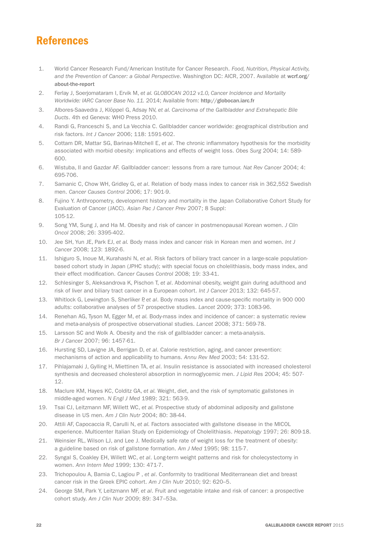## References

- 1. World Cancer Research Fund/American Institute for Cancer Research. *Food, Nutrition, Physical Activity,*  and the Prevention of Cancer: a Global Perspective. Washington DC: AICR, 2007. Available at [wcrf.org/](http://wcrf.org/about-the-report) [about-the-report](http://wcrf.org/about-the-report)
- 2. Ferlay J, Soerjomataram I, Ervik M, *et al. GLOBOCAN 2012 v1.0, Cancer Incidence and Mortality Worldwide: IARC Cancer Base No. 11.* 2014; Available from: <http://globocan.iarc.fr>
- 3. Albores-Saavedra J, Klöppel G, Adsay NV, *et al. Carcinoma of the Gallbladder and Extrahepatic Bile Ducts*. 4th ed Geneva: WHO Press 2010.
- 4. Randi G, Franceschi S, and La Vecchia C. Gallbladder cancer worldwide: geographical distribution and risk factors. *Int J Cancer* 2006; 118: 1591-602.
- 5. Cottam DR, Mattar SG, Barinas-Mitchell E, *et al*. The chronic inflammatory hypothesis for the morbidity associated with morbid obesity: implications and effects of weight loss. *Obes Surg* 2004; 14: 589- 600.
- 6. Wistuba, II and Gazdar AF. Gallbladder cancer: lessons from a rare tumour. *Nat Rev Cancer* 2004; 4: 695-706.
- 7. Samanic C, Chow WH, Gridley G, *et al*. Relation of body mass index to cancer risk in 362,552 Swedish men. *Cancer Causes Control* 2006; 17: 901-9.
- 8. Fujino Y. Anthropometry, development history and mortality in the Japan Collaborative Cohort Study for Evaluation of Cancer (JACC). *Asian Pac J Cancer Prev* 2007; 8 Suppl: 105-12.
- 9. Song YM, Sung J, and Ha M. Obesity and risk of cancer in postmenopausal Korean women. *J Clin Oncol* 2008; 26: 3395-402.
- 10. Jee SH, Yun JE, Park EJ, *et al.* Body mass index and cancer risk in Korean men and women. *Int J Cancer* 2008; 123: 1892-6.
- 11. Ishiguro S, Inoue M, Kurahashi N, *et al*. Risk factors of biliary tract cancer in a large-scale populationbased cohort study in Japan (JPHC study); with special focus on cholelithiasis, body mass index, and their effect modification. *Cancer Causes Control* 2008; 19: 33-41.
- 12. Schlesinger S, Aleksandrova K, Pischon T, *et al*. Abdominal obesity, weight gain during adulthood and risk of liver and biliary tract cancer in a European cohort. *Int J Cancer* 2013; 132: 645-57.
- 13. Whitlock G, Lewington S, Sherliker P, *et al*. Body mass index and cause-specific mortality in 900 000 adults: collaborative analyses of 57 prospective studies. *Lancet* 2009; 373: 1083-96.
- 14. Renehan AG, Tyson M, Egger M, *et al.* Body-mass index and incidence of cancer: a systematic review and meta-analysis of prospective observational studies. *Lancet* 2008; 371: 569-78.
- 15. Larsson SC and Wolk A. Obesity and the risk of gallbladder cancer: a meta-analysis. *Br J Cancer* 2007; 96: 1457-61.
- 16. Hursting SD, Lavigne JA, Berrigan D, *et al*. Calorie restriction, aging, and cancer prevention: mechanisms of action and applicability to humans. *Annu Rev Med* 2003; 54: 131-52.
- 17. Pihlajamaki J, Gylling H, Miettinen TA, *et al*. Insulin resistance is associated with increased cholesterol synthesis and decreased cholesterol absorption in normoglycemic men. *J Lipid Res* 2004; 45: 507- 12.
- 18. Maclure KM, Hayes KC, Colditz GA, *et al.* Weight, diet, and the risk of symptomatic gallstones in middle-aged women. *N Engl J Med* 1989; 321: 563-9.
- 19. Tsai CJ, Leitzmann MF, Willett WC, *et al.* Prospective study of abdominal adiposity and gallstone disease in US men. *Am J Clin Nutr* 2004; 80: 38-44.
- 20. Attili AF, Capocaccia R, Carulli N, *et al.* Factors associated with gallstone disease in the MICOL experience. Multicenter Italian Study on Epidemiology of Cholelithiasis. *Hepatology* 1997; 26: 809-18.
- 21. Weinsier RL, Wilson LJ, and Lee J. Medically safe rate of weight loss for the treatment of obesity: a guideline based on risk of gallstone formation. *Am J Med* 1995; 98: 115-7.
- 22. Syngal S, Coakley EH, Willett WC, *et al*. Long-term weight patterns and risk for cholecystectomy in women. *Ann Intern Med* 1999; 130: 471-7.
- 23. Trichopoulou A, Bamia C, Lagiou P , *et al*. Conformity to traditional Mediterranean diet and breast cancer risk in the Greek EPIC cohort. *Am J Clin Nutr* 2010; 92: 620–5.
- 24. George SM, Park Y, Leitzmann MF, *et al*. Fruit and vegetable intake and risk of cancer: a prospective cohort study. *Am J Clin Nutr* 2009; 89: 347–53a.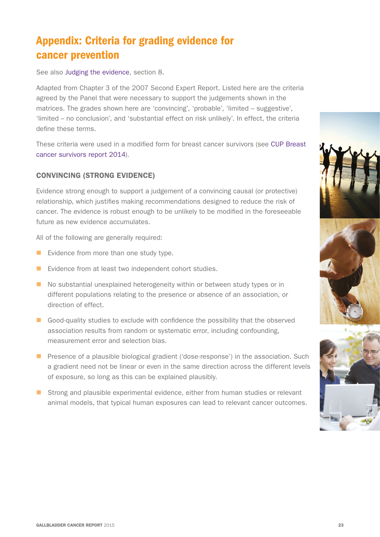# Appendix: Criteria for grading evidence for cancer prevention

See also Judging the evidence, section 8.

Adapted from Chapter 3 of the 2007 Second Expert Report. Listed here are the criteria agreed by the Panel that were necessary to support the judgements shown in the matrices. The grades shown here are 'convincing', 'probable', 'limited – suggestive', 'limited – no conclusion', and 'substantial effect on risk unlikely'. In effect, the criteria define these terms.

These criteria were used in a modified form for breast cancer survivors (see CUP Breast cancer survivors report 2014).

## CONVINCING (STRONG EVIDENCE)

Evidence strong enough to support a judgement of a convincing causal (or protective) relationship, which justifies making recommendations designed to reduce the risk of cancer. The evidence is robust enough to be unlikely to be modified in the foreseeable future as new evidence accumulates.

All of the following are generally required:

- $\blacksquare$  Evidence from more than one study type.
- $\blacksquare$  Evidence from at least two independent cohort studies.
- **n** No substantial unexplained heterogeneity within or between study types or in different populations relating to the presence or absence of an association, or direction of effect.
- Good-quality studies to exclude with confidence the possibility that the observed association results from random or systematic error, including confounding, measurement error and selection bias.
- **n** Presence of a plausible biological gradient ('dose-response') in the association. Such a gradient need not be linear or even in the same direction across the different levels of exposure, so long as this can be explained plausibly.
- **n** Strong and plausible experimental evidence, either from human studies or relevant animal models, that typical human exposures can lead to relevant cancer outcomes.

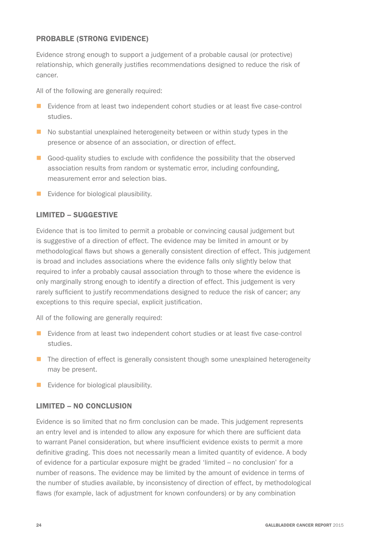### PROBABLE (STRONG EVIDENCE)

Evidence strong enough to support a judgement of a probable causal (or protective) relationship, which generally justifies recommendations designed to reduce the risk of cancer.

All of the following are generally required:

- Evidence from at least two independent cohort studies or at least five case-control studies.
- $\blacksquare$  No substantial unexplained heterogeneity between or within study types in the presence or absence of an association, or direction of effect.
- Good-quality studies to exclude with confidence the possibility that the observed association results from random or systematic error, including confounding, measurement error and selection bias.
- $\blacksquare$  Evidence for biological plausibility.

### LIMITED – SUGGESTIVE

Evidence that is too limited to permit a probable or convincing causal judgement but is suggestive of a direction of effect. The evidence may be limited in amount or by methodological flaws but shows a generally consistent direction of effect. This judgement is broad and includes associations where the evidence falls only slightly below that required to infer a probably causal association through to those where the evidence is only marginally strong enough to identify a direction of effect. This judgement is very rarely sufficient to justify recommendations designed to reduce the risk of cancer; any exceptions to this require special, explicit justification.

All of the following are generally required:

- $\blacksquare$  Evidence from at least two independent cohort studies or at least five case-control studies.
- $\blacksquare$  The direction of effect is generally consistent though some unexplained heterogeneity may be present.
- $\blacksquare$  Evidence for biological plausibility.

### LIMITED – NO CONCLUSION

Evidence is so limited that no firm conclusion can be made. This judgement represents an entry level and is intended to allow any exposure for which there are sufficient data to warrant Panel consideration, but where insufficient evidence exists to permit a more definitive grading. This does not necessarily mean a limited quantity of evidence. A body of evidence for a particular exposure might be graded 'limited – no conclusion' for a number of reasons. The evidence may be limited by the amount of evidence in terms of the number of studies available, by inconsistency of direction of effect, by methodological flaws (for example, lack of adjustment for known confounders) or by any combination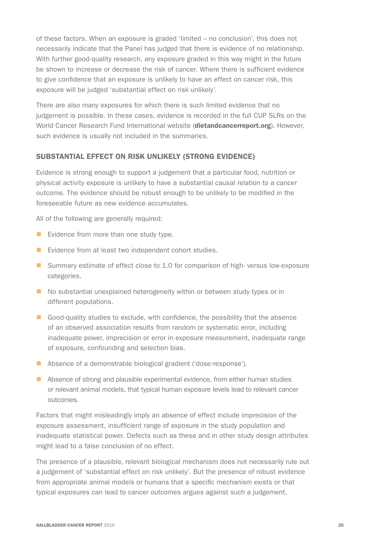of these factors. When an exposure is graded 'limited – no conclusion', this does not necessarily indicate that the Panel has judged that there is evidence of no relationship. With further good-quality research, any exposure graded in this way might in the future be shown to increase or decrease the risk of cancer. Where there is sufficient evidence to give confidence that an exposure is unlikely to have an effect on cancer risk, this exposure will be judged 'substantial effect on risk unlikely'.

There are also many exposures for which there is such limited evidence that no judgement is possible. In these cases, evidence is recorded in the full CUP SLRs on the World Cancer Research Fund International website ([dietandcancerreport.org](http://dietandcancerreport.org)). However, such evidence is usually not included in the summaries.

#### SUBSTANTIAL EFFECT ON RISK UNLIKELY (STRONG EVIDENCE)

Evidence is strong enough to support a judgement that a particular food, nutrition or physical activity exposure is unlikely to have a substantial causal relation to a cancer outcome. The evidence should be robust enough to be unlikely to be modified in the foreseeable future as new evidence accumulates.

All of the following are generally required:

- $\blacksquare$  Evidence from more than one study type.
- $\blacksquare$  Evidence from at least two independent cohort studies.
- Summary estimate of effect close to 1.0 for comparison of high- versus low-exposure categories.
- $\blacksquare$  No substantial unexplained heterogeneity within or between study types or in different populations.
- Good-quality studies to exclude, with confidence, the possibility that the absence of an observed association results from random or systematic error, including inadequate power, imprecision or error in exposure measurement, inadequate range of exposure, confounding and selection bias.
- $\blacksquare$  Absence of a demonstrable biological gradient ('dose-response').
- **n** Absence of strong and plausible experimental evidence, from either human studies or relevant animal models, that typical human exposure levels lead to relevant cancer outcomes.

Factors that might misleadingly imply an absence of effect include imprecision of the exposure assessment, insufficient range of exposure in the study population and inadequate statistical power. Defects such as these and in other study design attributes might lead to a false conclusion of no effect.

The presence of a plausible, relevant biological mechanism does not necessarily rule out a judgement of 'substantial effect on risk unlikely'. But the presence of robust evidence from appropriate animal models or humans that a specific mechanism exists or that typical exposures can lead to cancer outcomes argues against such a judgement.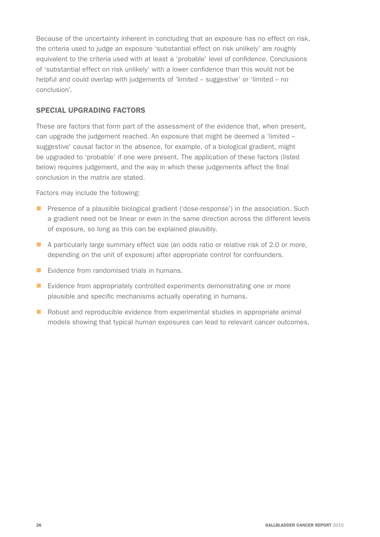Because of the uncertainty inherent in concluding that an exposure has no effect on risk, the criteria used to judge an exposure 'substantial effect on risk unlikely' are roughly equivalent to the criteria used with at least a 'probable' level of confidence. Conclusions of 'substantial effect on risk unlikely' with a lower confidence than this would not be helpful and could overlap with judgements of 'limited – suggestive' or 'limited – no conclusion'.

### SPECIAL UPGRADING FACTORS

These are factors that form part of the assessment of the evidence that, when present, can upgrade the judgement reached. An exposure that might be deemed a 'limited – suggestive' causal factor in the absence, for example, of a biological gradient, might be upgraded to 'probable' if one were present. The application of these factors (listed below) requires judgement, and the way in which these judgements affect the final conclusion in the matrix are stated.

Factors may include the following:

- **n** Presence of a plausible biological gradient ('dose-response') in the association. Such a gradient need not be linear or even in the same direction across the different levels of exposure, so long as this can be explained plausibly.
- **n** A particularly large summary effect size (an odds ratio or relative risk of 2.0 or more, depending on the unit of exposure) after appropriate control for confounders.
- $\blacksquare$  Evidence from randomised trials in humans.
- $\blacksquare$  Evidence from appropriately controlled experiments demonstrating one or more plausible and specific mechanisms actually operating in humans.
- $\blacksquare$  Robust and reproducible evidence from experimental studies in appropriate animal models showing that typical human exposures can lead to relevant cancer outcomes.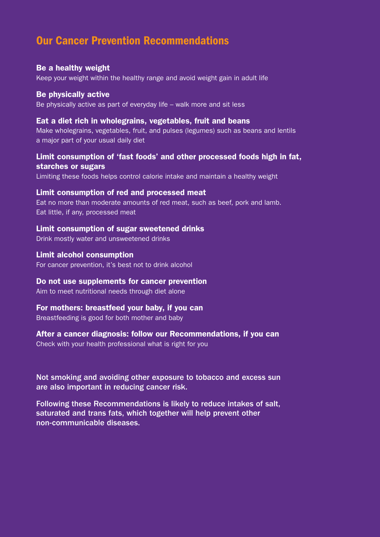## Our Cancer Prevention Recommendations

### Be a healthy weight

Keep your weight within the healthy range and avoid weight gain in adult life

### Be physically active

Be physically active as part of everyday life – walk more and sit less

### Eat a diet rich in wholegrains, vegetables, fruit and beans

Make wholegrains, vegetables, fruit, and pulses (legumes) such as beans and lentils a major part of your usual daily diet

### Limit consumption of 'fast foods' and other processed foods high in fat, starches or sugars

Limiting these foods helps control calorie intake and maintain a healthy weight

### Limit consumption of red and processed meat

Eat no more than moderate amounts of red meat, such as beef, pork and lamb. Eat little, if any, processed meat

### Limit consumption of sugar sweetened drinks

Drink mostly water and unsweetened drinks

### Limit alcohol consumption

For cancer prevention, it's best not to drink alcohol

### Do not use supplements for cancer prevention

Aim to meet nutritional needs through diet alone

### For mothers: breastfeed your baby, if you can

Breastfeeding is good for both mother and baby

### After a cancer diagnosis: follow our Recommendations, if you can

Check with your health professional what is right for you

Not smoking and avoiding other exposure to tobacco and excess sun are also important in reducing cancer risk.

Following these Recommendations is likely to reduce intakes of salt, saturated and trans fats, which together will help prevent other non-communicable diseases.